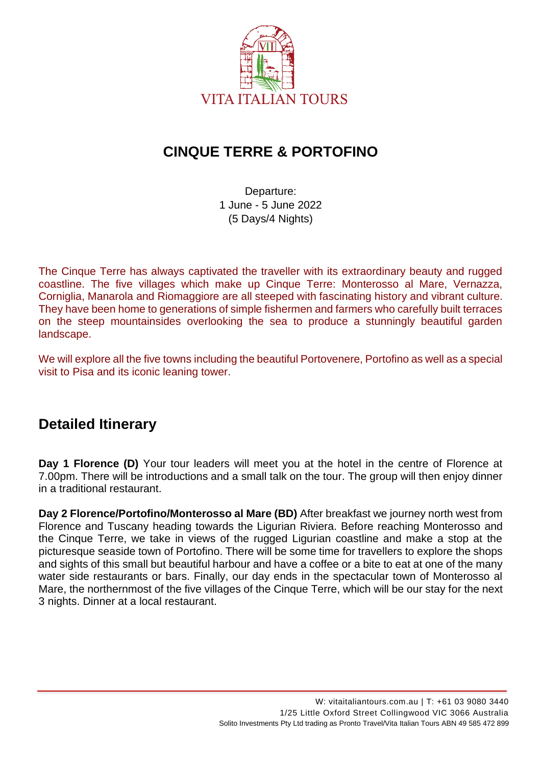

# **CINQUE TERRE & PORTOFINO**

Departure: 1 June - 5 June 2022 (5 Days/4 Nights)

The Cinque Terre has always captivated the traveller with its extraordinary beauty and rugged coastline. The five villages which make up Cinque Terre: Monterosso al Mare, Vernazza, Corniglia, Manarola and Riomaggiore are all steeped with fascinating history and vibrant culture. They have been home to generations of simple fishermen and farmers who carefully built terraces on the steep mountainsides overlooking the sea to produce a stunningly beautiful garden landscape.

We will explore all the five towns including the beautiful Portovenere, Portofino as well as a special visit to Pisa and its iconic leaning tower.

# **Detailed Itinerary**

**Day 1 Florence (D)** Your tour leaders will meet you at the hotel in the centre of Florence at 7.00pm. There will be introductions and a small talk on the tour. The group will then enjoy dinner in a traditional restaurant.

**Day 2 Florence/Portofino/Monterosso al Mare (BD)** After breakfast we journey north west from Florence and Tuscany heading towards the Ligurian Riviera. Before reaching Monterosso and the Cinque Terre, we take in views of the rugged Ligurian coastline and make a stop at the picturesque seaside town of Portofino. There will be some time for travellers to explore the shops and sights of this small but beautiful harbour and have a coffee or a bite to eat at one of the many water side restaurants or bars. Finally, our day ends in the spectacular town of Monterosso al Mare, the northernmost of the five villages of the Cinque Terre, which will be our stay for the next 3 nights. Dinner at a local restaurant.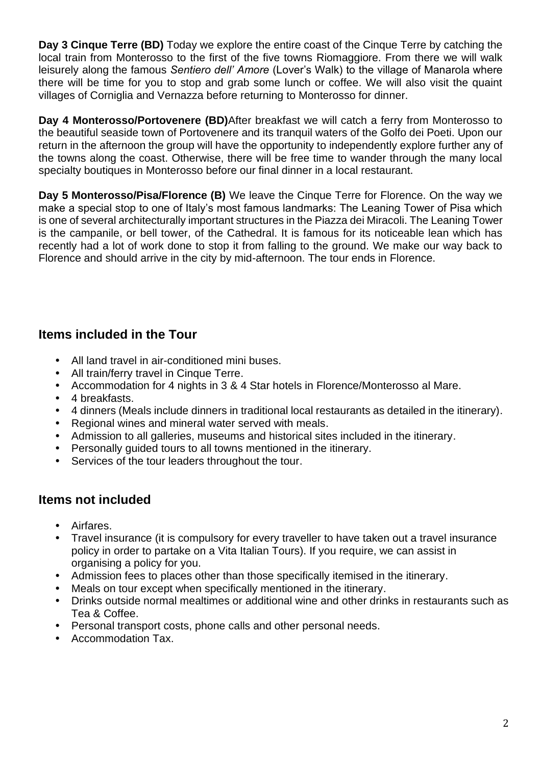**Day 3 Cinque Terre (BD)** Today we explore the entire coast of the Cinque Terre by catching the local train from Monterosso to the first of the five towns Riomaggiore. From there we will walk leisurely along the famous *Sentiero dell' Amore* (Lover's Walk) to the village of Manarola where there will be time for you to stop and grab some lunch or coffee. We will also visit the quaint villages of Corniglia and Vernazza before returning to Monterosso for dinner.

**Day 4 Monterosso/Portovenere (BD)**After breakfast we will catch a ferry from Monterosso to the beautiful seaside town of Portovenere and its tranquil waters of the Golfo dei Poeti. Upon our return in the afternoon the group will have the opportunity to independently explore further any of the towns along the coast. Otherwise, there will be free time to wander through the many local specialty boutiques in Monterosso before our final dinner in a local restaurant.

**Day 5 Monterosso/Pisa/Florence (B)** We leave the Cinque Terre for Florence. On the way we make a special stop to one of Italy's most famous landmarks: The Leaning Tower of Pisa which is one of several architecturally important structures in the Piazza dei Miracoli. The Leaning Tower is the campanile, or bell tower, of the Cathedral. It is famous for its noticeable lean which has recently had a lot of work done to stop it from falling to the ground. We make our way back to Florence and should arrive in the city by mid-afternoon. The tour ends in Florence.

### **Items included in the Tour**

- All land travel in air-conditioned mini buses.
- All train/ferry travel in Cinque Terre.
- Accommodation for 4 nights in 3 & 4 Star hotels in Florence/Monterosso al Mare.
- 4 breakfasts.
- 4 dinners (Meals include dinners in traditional local restaurants as detailed in the itinerary).
- Regional wines and mineral water served with meals.
- Admission to all galleries, museums and historical sites included in the itinerary.
- Personally guided tours to all towns mentioned in the itinerary.
- Services of the tour leaders throughout the tour.

#### **Items not included**

- Airfares.
- Travel insurance (it is compulsory for every traveller to have taken out a travel insurance policy in order to partake on a Vita Italian Tours). If you require, we can assist in organising a policy for you.
- Admission fees to places other than those specifically itemised in the itinerary.
- Meals on tour except when specifically mentioned in the itinerary.
- Drinks outside normal mealtimes or additional wine and other drinks in restaurants such as Tea & Coffee.
- Personal transport costs, phone calls and other personal needs.
- Accommodation Tax.